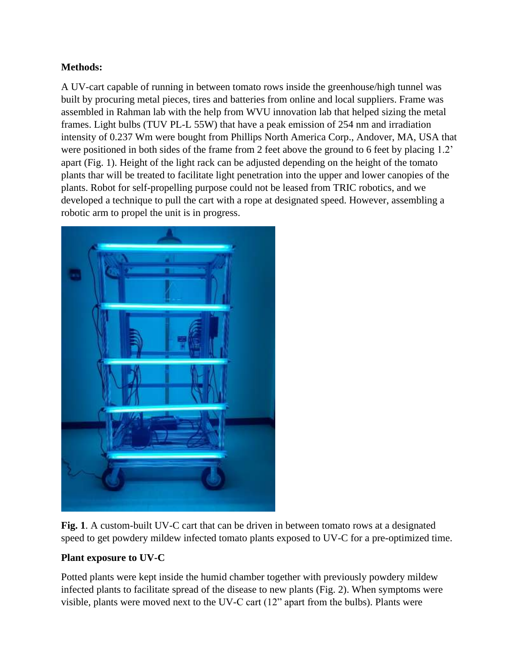## **Methods:**

A UV-cart capable of running in between tomato rows inside the greenhouse/high tunnel was built by procuring metal pieces, tires and batteries from online and local suppliers. Frame was assembled in Rahman lab with the help from WVU innovation lab that helped sizing the metal frames. Light bulbs (TUV PL-L 55W) that have a peak emission of 254 nm and irradiation intensity of 0.237 Wm were bought from Phillips North America Corp., Andover, MA, USA that were positioned in both sides of the frame from 2 feet above the ground to 6 feet by placing 1.2' apart (Fig. 1). Height of the light rack can be adjusted depending on the height of the tomato plants thar will be treated to facilitate light penetration into the upper and lower canopies of the plants. Robot for self-propelling purpose could not be leased from TRIC robotics, and we developed a technique to pull the cart with a rope at designated speed. However, assembling a robotic arm to propel the unit is in progress.



**Fig. 1**. A custom-built UV-C cart that can be driven in between tomato rows at a designated speed to get powdery mildew infected tomato plants exposed to UV-C for a pre-optimized time.

## **Plant exposure to UV-C**

Potted plants were kept inside the humid chamber together with previously powdery mildew infected plants to facilitate spread of the disease to new plants (Fig. 2). When symptoms were visible, plants were moved next to the UV-C cart (12" apart from the bulbs). Plants were